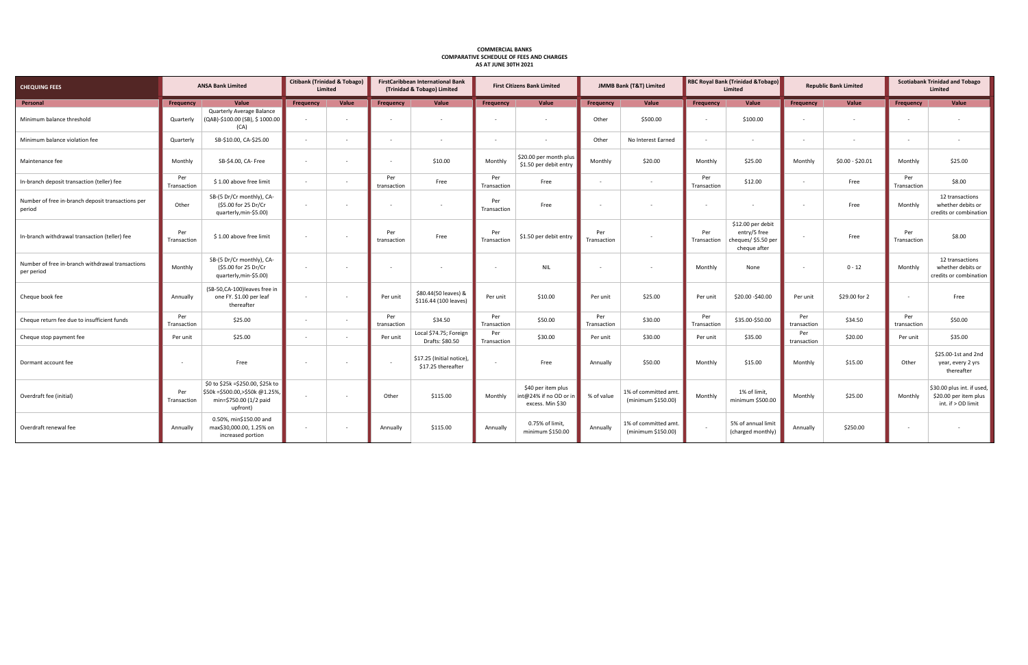| <b>CHEQUING FEES</b>                                           | <b>ANSA Bank Limited</b> |                                                                                                              | <b>Citibank (Trinidad &amp; Tobago)</b><br>Limited |        | <b>FirstCaribbean International Bank</b><br>(Trinidad & Tobago) Limited |                                                 | <b>First Citizens Bank Limited</b> |                                                                  | <b>JMMB Bank (T&amp;T) Limited</b> |                                            | RBC Royal Bank (Trinidad & Tobago)<br>Limited |                                                                          | <b>Republic Bank Limited</b> |                  | <b>Scotiabank Trinidad and Tobago</b><br>Limited |                                                                           |
|----------------------------------------------------------------|--------------------------|--------------------------------------------------------------------------------------------------------------|----------------------------------------------------|--------|-------------------------------------------------------------------------|-------------------------------------------------|------------------------------------|------------------------------------------------------------------|------------------------------------|--------------------------------------------|-----------------------------------------------|--------------------------------------------------------------------------|------------------------------|------------------|--------------------------------------------------|---------------------------------------------------------------------------|
| Personal                                                       |                          | Value                                                                                                        | Frequency                                          | Value  |                                                                         | Value                                           | Frequency                          | Value                                                            | Frequency                          | Value                                      |                                               | Value                                                                    | Frequency                    | Value            |                                                  | Value                                                                     |
|                                                                | Frequency                | Quarterly Average Balance                                                                                    |                                                    |        | Frequency                                                               |                                                 |                                    |                                                                  |                                    |                                            | <b>Frequency</b>                              |                                                                          |                              |                  | Frequency                                        |                                                                           |
| Minimum balance threshold                                      | Quarterly                | (QAB)-\$100.00 (SB), \$1000.00<br>(CA)                                                                       |                                                    | $\sim$ |                                                                         | $\sim$                                          |                                    | $\sim$                                                           | Other                              | \$500.00                                   |                                               | \$100.00                                                                 |                              | $\sim$           |                                                  | $\overline{\phantom{a}}$                                                  |
| Minimum balance violation fee                                  | Quarterly                | SB-\$10.00, CA-\$25.00                                                                                       | $\sim$                                             | $\sim$ |                                                                         | $\sim$                                          |                                    | $\sim$                                                           | Other                              | No Interest Earned                         |                                               | $\sim$                                                                   | $\sim$                       | $\sim$           | $\sim$                                           | $\sim$                                                                    |
| Maintenance fee                                                | Monthly                  | SB-\$4.00, CA- Free                                                                                          | $\sim$                                             | $\sim$ |                                                                         | \$10.00                                         | Monthly                            | \$20.00 per month plus<br>\$1.50 per debit entry                 | Monthly                            | \$20.00                                    | Monthly                                       | \$25.00                                                                  | Monthly                      | $$0.00 - $20.01$ | Monthly                                          | \$25.00                                                                   |
| In-branch deposit transaction (teller) fee                     | Per<br>Transaction       | \$1.00 above free limit                                                                                      | $\sim$                                             | $\sim$ | Per<br>transaction                                                      | Free                                            | Per<br>Transaction                 | Free                                                             | $\sim$                             | $\sim$                                     | Per<br>Transaction                            | \$12.00                                                                  | $\sim$                       | Free             | Per<br>Transaction                               | \$8.00                                                                    |
| Number of free in-branch deposit transactions per<br>period    | Other                    | SB-(5 Dr/Cr monthly), CA-<br>(\$5.00 for 25 Dr/Cr<br>quarterly, min-\$5.00)                                  |                                                    | $\sim$ |                                                                         | $\sim$                                          | Per<br>Transaction                 | Free                                                             |                                    |                                            |                                               |                                                                          |                              | Free             | Monthly                                          | 12 transactions<br>whether debits or<br>credits or combination            |
| In-branch withdrawal transaction (teller) fee                  | Per<br>Transaction       | \$1.00 above free limit                                                                                      | $\sim$                                             | $\sim$ | Per<br>transaction                                                      | Free                                            | Per<br>Transaction                 | \$1.50 per debit entry                                           | Per<br>Transaction                 | $\sim$                                     | Per<br>Transaction                            | \$12.00 per debit<br>entry/5 free<br>cheques/ \$5.50 per<br>cheque after |                              | Free             | Per<br>Transaction                               | \$8.00                                                                    |
| Number of free in-branch withdrawal transactions<br>per period | Monthly                  | SB-(5 Dr/Cr monthly), CA-<br>(\$5.00 for 25 Dr/Cr<br>quarterly, min-\$5.00)                                  | $\sim$                                             | $\sim$ |                                                                         | $\sim$                                          |                                    | <b>NIL</b>                                                       |                                    | $\sim$                                     | Monthly                                       | None                                                                     | $\sim$                       | $0 - 12$         | Monthly                                          | 12 transactions<br>whether debits or<br>credits or combination            |
| Cheque book fee                                                | Annually                 | (SB-50,CA-100) leaves free in<br>one FY. \$1.00 per leaf<br>thereafter                                       |                                                    | $\sim$ | Per unit                                                                | \$80.44(50 leaves) &<br>\$116.44 (100 leaves)   | Per unit                           | \$10.00                                                          | Per unit                           | \$25.00                                    | Per unit                                      | \$20.00 - \$40.00                                                        | Per unit                     | \$29.00 for 2    | $\sim$                                           | Free                                                                      |
| Cheque return fee due to insufficient funds                    | Per<br>Transaction       | \$25.00                                                                                                      | $\sim$                                             | $\sim$ | Per<br>transaction                                                      | \$34.50                                         | Per<br>Transaction                 | \$50.00                                                          | Per<br>Transaction                 | \$30.00                                    | Per<br>Transaction                            | \$35.00-\$50.00                                                          | Per<br>transaction           | \$34.50          | Per<br>transaction                               | \$50.00                                                                   |
| Cheque stop payment fee                                        | Per unit                 | \$25.00                                                                                                      | $\sim$                                             | $\sim$ | Per unit                                                                | Local \$74.75; Foreign<br>Drafts: \$80.50       | Per<br>Transaction                 | \$30.00                                                          | Per unit                           | \$30.00                                    | Per unit                                      | \$35.00                                                                  | Per<br>transaction           | \$20.00          | Per unit                                         | \$35.00                                                                   |
| Dormant account fee                                            |                          | Free                                                                                                         | $\sim$                                             | $\sim$ |                                                                         | \$17.25 (Initial notice),<br>\$17.25 thereafter | $\sim$                             | Free                                                             | Annually                           | \$50.00                                    | Monthly                                       | \$15.00                                                                  | Monthly                      | \$15.00          | Other                                            | \$25.00-1st and 2nd<br>year, every 2 yrs<br>thereafter                    |
| Overdraft fee (initial)                                        | Per<br>Transaction       | \$0 to \$25k =\$250.00, \$25k to<br>\$50k = \$500.00, > \$50k @ 1.25%,<br>min=\$750.00 (1/2 paid<br>upfront) |                                                    | $\sim$ | Other                                                                   | \$115.00                                        | Monthly                            | \$40 per item plus<br>int@24% if no OD or in<br>excess. Min \$30 | % of value                         | 1% of committed amt.<br>(minimum \$150.00) | Monthly                                       | 1% of limit,<br>minimum \$500.00                                         | Monthly                      | \$25.00          | Monthly                                          | \$30.00 plus int. if used,<br>\$20.00 per item plus<br>int. if > OD limit |
| Overdraft renewal fee                                          | Annually                 | 0.50%, min\$150.00 and<br>max\$30,000.00, 1.25% on<br>increased portion                                      | $\sim$                                             | $\sim$ | Annually                                                                | \$115.00                                        | Annually                           | 0.75% of limit,<br>minimum \$150.00                              | Annually                           | 1% of committed amt.<br>(minimum \$150.00) |                                               | 5% of annual limit<br>(charged monthly)                                  | Annually                     | \$250.00         | $\sim$                                           |                                                                           |

## **COMMERCIAL BANKS COMPARATIVE SCHEDULE OF FEES AND CHARGES AS AT JUNE 30TH 2021**